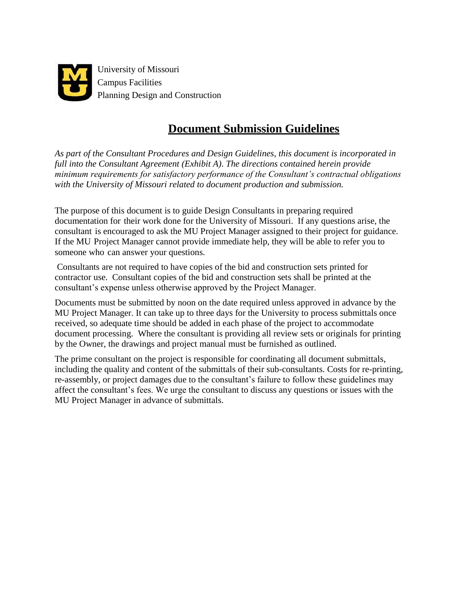

# **Document Submission Guidelines**

*As part of the Consultant Procedures and Design Guidelines, this document is incorporated in full into the Consultant Agreement (Exhibit A)*. *The directions contained herein provide minimum requirements for satisfactory performance of the Consultant's contractual obligations with the University of Missouri related to document production and submission.*

The purpose of this document is to guide Design Consultants in preparing required documentation for their work done for the University of Missouri. If any questions arise, the consultant is encouraged to ask the MU Project Manager assigned to their project for guidance. If the MU Project Manager cannot provide immediate help, they will be able to refer you to someone who can answer your questions.

Consultants are not required to have copies of the bid and construction sets printed for contractor use. Consultant copies of the bid and construction sets shall be printed at the consultant's expense unless otherwise approved by the Project Manager.

Documents must be submitted by noon on the date required unless approved in advance by the MU Project Manager. It can take up to three days for the University to process submittals once received, so adequate time should be added in each phase of the project to accommodate document processing. Where the consultant is providing all review sets or originals for printing by the Owner, the drawings and project manual must be furnished as outlined.

The prime consultant on the project is responsible for coordinating all document submittals, including the quality and content of the submittals of their sub-consultants. Costs for re-printing, re-assembly, or project damages due to the consultant's failure to follow these guidelines may affect the consultant's fees. We urge the consultant to discuss any questions or issues with the MU Project Manager in advance of submittals.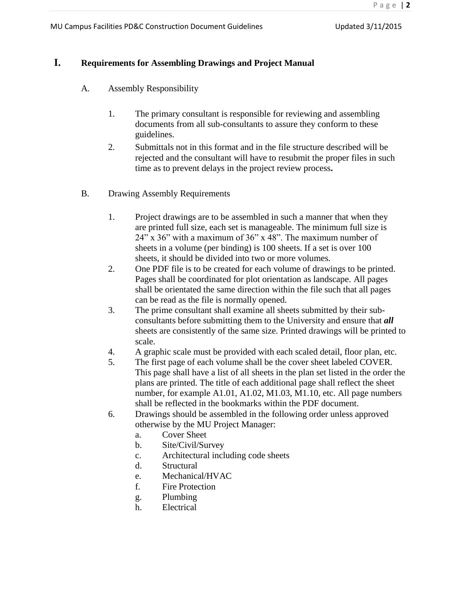## **I. Requirements for Assembling Drawings and Project Manual**

- A. Assembly Responsibility
	- 1. The primary consultant is responsible for reviewing and assembling documents from all sub-consultants to assure they conform to these guidelines.
	- 2. Submittals not in this format and in the file structure described will be rejected and the consultant will have to resubmit the proper files in such time as to prevent delays in the project review process**.**
- B. Drawing Assembly Requirements
	- 1. Project drawings are to be assembled in such a manner that when they are printed full size, each set is manageable. The minimum full size is 24" x 36" with a maximum of 36" x 48". The maximum number of sheets in a volume (per binding) is 100 sheets. If a set is over 100 sheets, it should be divided into two or more volumes.
	- 2. One PDF file is to be created for each volume of drawings to be printed. Pages shall be coordinated for plot orientation as landscape. All pages shall be orientated the same direction within the file such that all pages can be read as the file is normally opened.
	- 3. The prime consultant shall examine all sheets submitted by their subconsultants before submitting them to the University and ensure that *all*  sheets are consistently of the same size. Printed drawings will be printed to scale.
	- 4. A graphic scale must be provided with each scaled detail, floor plan, etc.
	- 5. The first page of each volume shall be the cover sheet labeled COVER. This page shall have a list of all sheets in the plan set listed in the order the plans are printed. The title of each additional page shall reflect the sheet number, for example A1.01, A1.02, M1.03, M1.10, etc. All page numbers shall be reflected in the bookmarks within the PDF document.
	- 6. Drawings should be assembled in the following order unless approved otherwise by the MU Project Manager:
		- a. Cover Sheet
		- b. Site/Civil/Survey
		- c. Architectural including code sheets
		- d. Structural
		- e. Mechanical/HVAC
		- f. Fire Protection
		- g. Plumbing
		- h. Electrical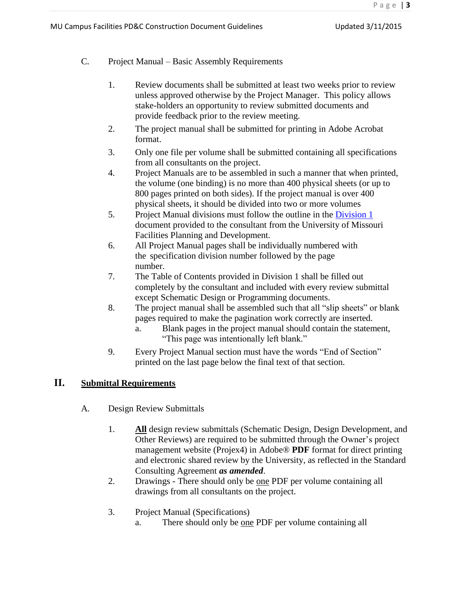- C. Project Manual Basic Assembly Requirements
	- 1. Review documents shall be submitted at least two weeks prior to review unless approved otherwise by the Project Manager. This policy allows stake-holders an opportunity to review submitted documents and provide feedback prior to the review meeting.
	- 2. The project manual shall be submitted for printing in Adobe Acrobat format.
	- 3. Only one file per volume shall be submitted containing all specifications from all consultants on the project.
	- 4. Project Manuals are to be assembled in such a manner that when printed, the volume (one binding) is no more than 400 physical sheets (or up to 800 pages printed on both sides). If the project manual is over 400 physical sheets, it should be divided into two or more volumes
	- 5. Project Manual divisions must follow the outline in the [Division 1](https://uminfopoint.umsystem.edu/media/_layouts/WordViewer.aspx?id=/media/fa/management/facilities/docs/Div%201%20Bidding%20Documents.docx&Source=https%3A%2F%2Fuminfopoint%2Eumsystem%2Eedu%2Fmedia%2Ffa%2FForms%2FAllItems%2Easpx%3FPaged%3DTRUE%26p_SortBehavior%3D0%26p_FileLeafRef%3DConstruction%2520backup%2520template%252dDesign%252dBuild%252edoc%26p_ID%3D3333%26RootFolder%3D%252Fmedia%252Ffa%252Fmanagement%252Ffacilities%252Fdocs%26PageFirstRow%3D31%26%26View%3D%7B63171E52-62D7-4DBC-8829-E9803060A17F%7D%26InitialTabId%3DRibbon%252EDocument%26VisibilityContext%3DWSSTabPersistence&DefaultItemOpen=1&DefaultItemOpen=1) document provided to the consultant from the University of Missouri Facilities Planning and Development.
	- 6. All Project Manual pages shall be individually numbered with the specification division number followed by the page number.
	- 7. The Table of Contents provided in Division 1 shall be filled out completely by the consultant and included with every review submittal except Schematic Design or Programming documents.
	- 8. The project manual shall be assembled such that all "slip sheets" or blank pages required to make the pagination work correctly are inserted.
		- a. Blank pages in the project manual should contain the statement, "This page was intentionally left blank."
	- 9. Every Project Manual section must have the words "End of Section" printed on the last page below the final text of that section.

### **II. Submittal Requirements**

- A. Design Review Submittals
	- 1. **All** design review submittals (Schematic Design, Design Development, and Other Reviews) are required to be submitted through the Owner's project management website (Projex4) in Adobe® **PDF** format for direct printing and electronic shared review by the University, as reflected in the Standard Consulting Agreement *as amended*.
	- 2. Drawings There should only be one PDF per volume containing all drawings from all consultants on the project.
	- 3. Project Manual (Specifications)
		- a. There should only be one PDF per volume containing all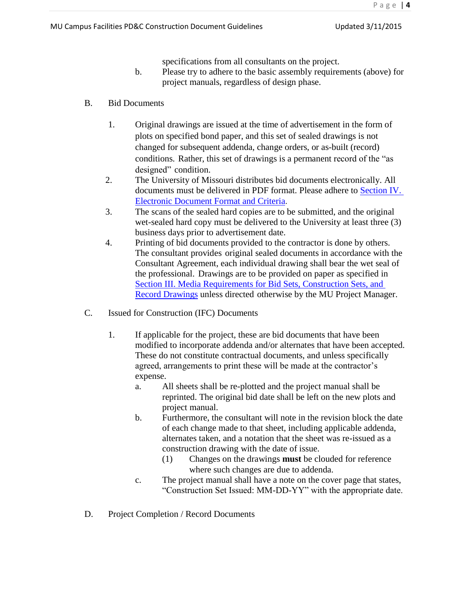specifications from all consultants on the project.

- b. Please try to adhere to the basic assembly requirements (above) for project manuals, regardless of design phase.
- B. Bid Documents
	- 1. Original drawings are issued at the time of advertisement in the form of plots on specified bond paper, and this set of sealed drawings is not changed for subsequent addenda, change orders, or as-built (record) conditions. Rather, this set of drawings is a permanent record of the "as designed" condition.
	- 2. The University of Missouri distributes bid documents electronically. All documents must be delivered in PDF format. Please adhere to [Section IV.](#page-6-0)  [Electronic Document Format and Criteria](#page-6-0).
	- 3. The scans of the sealed hard copies are to be submitted, and the original wet-sealed hard copy must be delivered to the University at least three (3) business days prior to advertisement date.
	- 4. Printing of bid documents provided to the contractor is done by others. The consultant provides original sealed documents in accordance with the Consultant Agreement, each individual drawing shall bear the wet seal of the professional. Drawings are to be provided on paper as specified in [Section III. Media](#page-4-0) Requirements [for Bid Sets, Construction Sets, and](#page-4-0)  [Record Drawings](#page-4-0) unless directed otherwise by the MU Project Manager.
- C. Issued for Construction (IFC) Documents
	- 1. If applicable for the project, these are bid documents that have been modified to incorporate addenda and/or alternates that have been accepted. These do not constitute contractual documents, and unless specifically agreed, arrangements to print these will be made at the contractor's expense.
		- a. All sheets shall be re-plotted and the project manual shall be reprinted. The original bid date shall be left on the new plots and project manual.
		- b. Furthermore, the consultant will note in the revision block the date of each change made to that sheet, including applicable addenda, alternates taken, and a notation that the sheet was re-issued as a construction drawing with the date of issue.
			- (1) Changes on the drawings **must** be clouded for reference where such changes are due to addenda.
		- c. The project manual shall have a note on the cover page that states, "Construction Set Issued: MM-DD-YY" with the appropriate date.
- D. Project Completion / Record Documents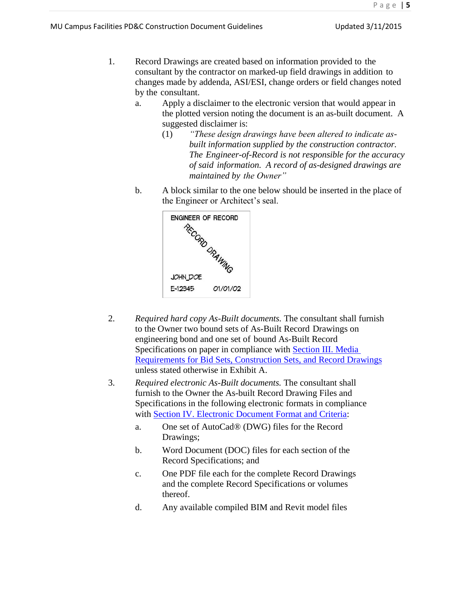- 1. Record Drawings are created based on information provided to the consultant by the contractor on marked-up field drawings in addition to changes made by addenda, ASI/ESI, change orders or field changes noted by the consultant.
	- a. Apply a disclaimer to the electronic version that would appear in the plotted version noting the document is an as-built document. A suggested disclaimer is:
		- (1) *"These design drawings have been altered to indicate asbuilt information supplied by the construction contractor. The Engineer-of-Record is not responsible for the accuracy of said information. A record of as-designed drawings are maintained by the Owner"*
	- b. A block similar to the one below should be inserted in the place of the Engineer or Architect's seal.



- 2. *Required hard copy As-Built documents.* The consultant shall furnish to the Owner two bound sets of As-Built Record Drawings on engineering bond and one set of bound As-Built Record Specifications on paper in compliance with [Section III. Media](#page-5-0)  [Requirements for Bid Sets, Construction Sets, and Record Drawings](#page-5-0) unless stated otherwise in Exhibit A.
- <span id="page-4-0"></span>3. *Required electronic As-Built documents.* The consultant shall furnish to the Owner the As-built Record Drawing Files and Specifications in the following electronic formats in compliance with [Section IV. Electronic Document Format and Criteria:](#page-6-0)
	- a. One set of AutoCad® (DWG) files for the Record Drawings;
	- b. Word Document (DOC) files for each section of the Record Specifications; and
	- c. One PDF file each for the complete Record Drawings and the complete Record Specifications or volumes thereof.
	- d. Any available compiled BIM and Revit model files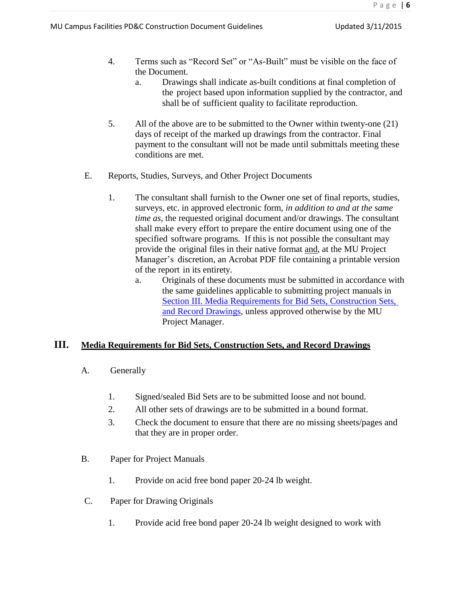- 4. Terms such as "Record Set" or "As-Built" must be visible on the face of the Document.
	- a. Drawings shall indicate as-built conditions at final completion of the project based upon information supplied by the contractor, and shall be of sufficient quality to facilitate reproduction.
- 5. All of the above are to be submitted to the Owner within twenty-one (21) days of receipt of the marked up drawings from the contractor. Final payment to the consultant will not be made until submittals meeting these conditions are met.
- E. Reports, Studies, Surveys, and Other Project Documents
	- 1. The consultant shall furnish to the Owner one set of final reports, studies, surveys, etc. in approved electronic form, *in addition to and at the same time as*, the requested original document and/or drawings. The consultant shall make every effort to prepare the entire document using one of the specified software programs. If this is not possible the consultant may provide the original files in their native format and, at the MU Project Manager's discretion, an Acrobat PDF file containing a printable version of the report in its entirety.
		- a. Originals of these documents must be submitted in accordance with the same guidelines applicable to submitting project manuals in [Section III. Media Requirements for Bid Sets, Construction Sets,](#page-5-0)  [and Record Drawings,](#page-5-0) unless approved otherwise by the MU Project Manager.

## <span id="page-5-0"></span>**III. Media Requirements for Bid Sets, Construction Sets, and Record Drawings**

- A. Generally
	- 1. Signed/sealed Bid Sets are to be submitted loose and not bound.
	- 2. All other sets of drawings are to be submitted in a bound format.
	- 3. Check the document to ensure that there are no missing sheets/pages and that they are in proper order.
- B. Paper for Project Manuals
	- 1. Provide on acid free bond paper 20-24 lb weight.
- C. Paper for Drawing Originals
	- 1. Provide acid free bond paper 20-24 lb weight designed to work with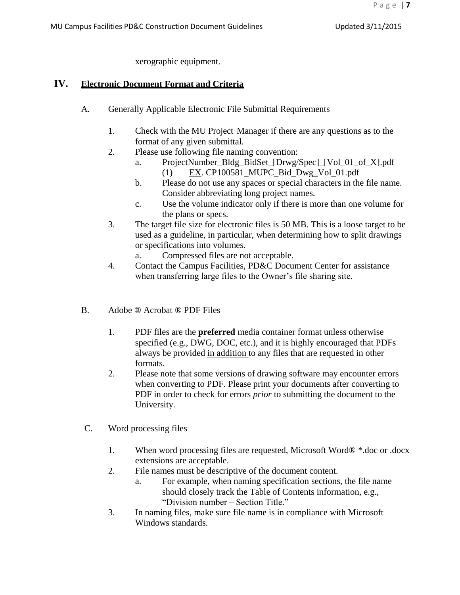P a g e | **7**

xerographic equipment.

#### <span id="page-6-0"></span>**IV. Electronic Document Format and Criteria**

- A. Generally Applicable Electronic File Submittal Requirements
	- 1. Check with the MU Project Manager if there are any questions as to the format of any given submittal.
	- 2. Please use following file naming convention:
		- a. ProjectNumber\_Bldg\_BidSet\_[Drwg/Spec]\_[Vol\_01\_of\_X].pdf (1) EX. CP100581\_MUPC\_Bid\_Dwg\_Vol\_01.pdf
		- b. Please do not use any spaces or special characters in the file name. Consider abbreviating long project names.
		- c. Use the volume indicator only if there is more than one volume for the plans or specs.
	- 3. The target file size for electronic files is 50 MB. This is a loose target to be used as a guideline, in particular, when determining how to split drawings or specifications into volumes.
		- a. Compressed files are not acceptable.
	- 4. Contact the Campus Facilities, PD&C Document Center for assistance when transferring large files to the Owner's file sharing site.
- B. Adobe ® Acrobat ® PDF Files
	- 1. PDF files are the **preferred** media container format unless otherwise specified (e.g., DWG, DOC, etc.), and it is highly encouraged that PDFs always be provided in addition to any files that are requested in other formats.
	- 2. Please note that some versions of drawing software may encounter errors when converting to PDF. Please print your documents after converting to PDF in order to check for errors *prior* to submitting the document to the University.
- C. Word processing files
	- 1. When word processing files are requested, Microsoft Word® \*.doc or .docx extensions are acceptable.
	- 2. File names must be descriptive of the document content.
		- a. For example, when naming specification sections, the file name should closely track the Table of Contents information, e.g., "Division number – Section Title."
	- 3. In naming files, make sure file name is in compliance with Microsoft Windows standards.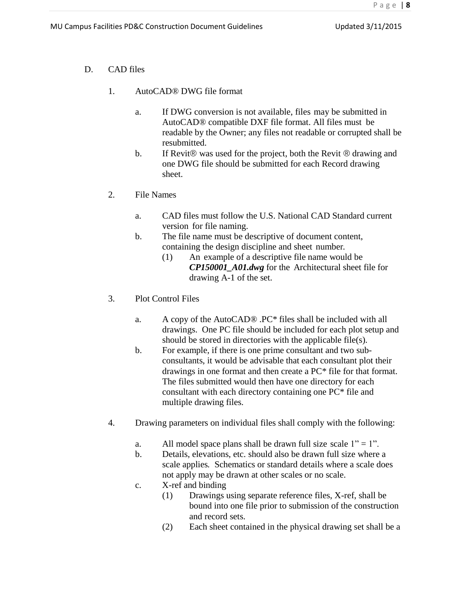- D. CAD files
	- 1. AutoCAD® DWG file format
		- a. If DWG conversion is not available, files may be submitted in AutoCAD® compatible DXF file format. All files must be readable by the Owner; any files not readable or corrupted shall be resubmitted.
		- b. If Revit<sup> $\circledR$ </sup> was used for the project, both the Revit  $\circledR$  drawing and one DWG file should be submitted for each Record drawing sheet.
	- 2. File Names
		- a. CAD files must follow the U.S. National CAD Standard current version for file naming.
		- b. The file name must be descriptive of document content, containing the design discipline and sheet number*.*
			- (1) An example of a descriptive file name would be *CP150001\_A01.dwg* for the Architectural sheet file for drawing A-1 of the set.
	- 3. Plot Control Files
		- a. A copy of the AutoCAD® .PC\* files shall be included with all drawings. One PC file should be included for each plot setup and should be stored in directories with the applicable file(s).
		- b. For example, if there is one prime consultant and two subconsultants, it would be advisable that each consultant plot their drawings in one format and then create a PC\* file for that format. The files submitted would then have one directory for each consultant with each directory containing one PC\* file and multiple drawing files.
	- 4. Drawing parameters on individual files shall comply with the following:
		- a. All model space plans shall be drawn full size scale  $1" = 1"$ .
		- b. Details, elevations, etc. should also be drawn full size where a scale applies*.* Schematics or standard details where a scale does not apply may be drawn at other scales or no scale.
		- c. X-ref and binding
			- (1) Drawings using separate reference files, X-ref, shall be bound into one file prior to submission of the construction and record sets.
			- (2) Each sheet contained in the physical drawing set shall be a